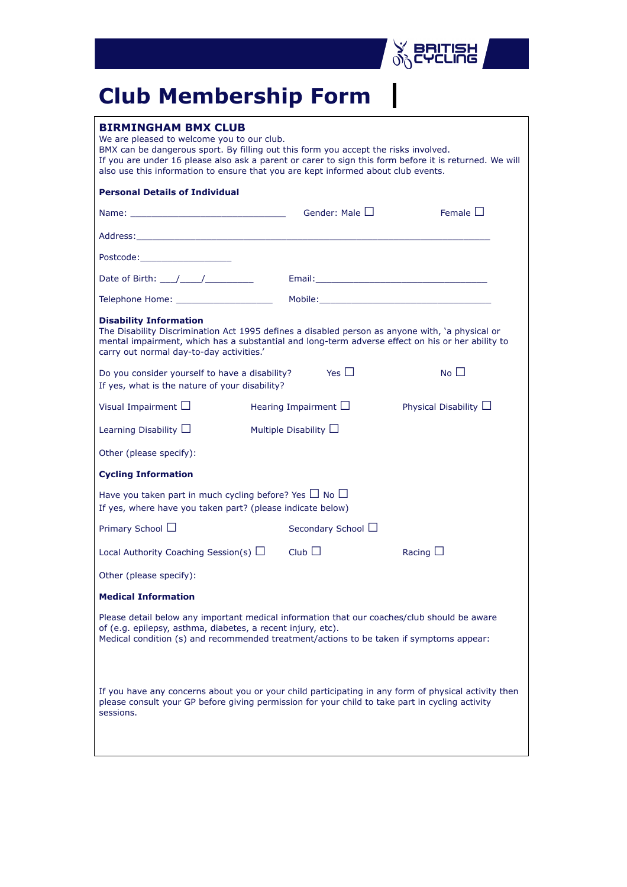

## **Club Membership Form**

| <b>BIRMINGHAM BMX CLUB</b><br>We are pleased to welcome you to our club.<br>BMX can be dangerous sport. By filling out this form you accept the risks involved.<br>If you are under 16 please also ask a parent or carer to sign this form before it is returned. We will<br>also use this information to ensure that you are kept informed about club events. |                              |                         |                            |  |  |  |
|----------------------------------------------------------------------------------------------------------------------------------------------------------------------------------------------------------------------------------------------------------------------------------------------------------------------------------------------------------------|------------------------------|-------------------------|----------------------------|--|--|--|
| <b>Personal Details of Individual</b>                                                                                                                                                                                                                                                                                                                          |                              |                         |                            |  |  |  |
| Name: $\Box$                                                                                                                                                                                                                                                                                                                                                   |                              |                         | Female $\Box$              |  |  |  |
| Address: Address: Address: Address: Address: Address: Address: Address: Address: Address: Address: A                                                                                                                                                                                                                                                           |                              |                         |                            |  |  |  |
| Postcode:_________________________                                                                                                                                                                                                                                                                                                                             |                              |                         |                            |  |  |  |
| Date of Birth: \eta \\ \eta \\ \eta \\ \eta \\ \eta \\ \eta \\ \eta \\ \eta \\ \eta \\ \eta \\ \eta \\ \eta \\ \eta \\ \eta \\ \eta \\ \eta \\ \eta \\ \eta \\ \eta \\ \eta \\ \eta \\ \eta \\ \eta \\ \eta \\ \eta \\ \eta \\                                                                                                                                 |                              |                         |                            |  |  |  |
|                                                                                                                                                                                                                                                                                                                                                                |                              |                         |                            |  |  |  |
| <b>Disability Information</b><br>The Disability Discrimination Act 1995 defines a disabled person as anyone with, 'a physical or<br>mental impairment, which has a substantial and long-term adverse effect on his or her ability to<br>carry out normal day-to-day activities.'                                                                               |                              |                         |                            |  |  |  |
| No $\square$<br>Yes $\Box$<br>Do you consider yourself to have a disability?<br>If yes, what is the nature of your disability?                                                                                                                                                                                                                                 |                              |                         |                            |  |  |  |
| Visual Impairment $\Box$                                                                                                                                                                                                                                                                                                                                       | Hearing Impairment $\square$ |                         | Physical Disability $\Box$ |  |  |  |
| Learning Disability $\Box$                                                                                                                                                                                                                                                                                                                                     | Multiple Disability $\Box$   |                         |                            |  |  |  |
| Other (please specify):                                                                                                                                                                                                                                                                                                                                        |                              |                         |                            |  |  |  |
| <b>Cycling Information</b>                                                                                                                                                                                                                                                                                                                                     |                              |                         |                            |  |  |  |
| Have you taken part in much cycling before? Yes $\Box$ No $\Box$<br>If yes, where have you taken part? (please indicate below)                                                                                                                                                                                                                                 |                              |                         |                            |  |  |  |
| Primary School $\Box$                                                                                                                                                                                                                                                                                                                                          |                              | Secondary School $\Box$ |                            |  |  |  |
| Local Authority Coaching Session(s) $\Box$                                                                                                                                                                                                                                                                                                                     | Club                         |                         | Racing $\square$           |  |  |  |
| Other (please specify):                                                                                                                                                                                                                                                                                                                                        |                              |                         |                            |  |  |  |
| <b>Medical Information</b>                                                                                                                                                                                                                                                                                                                                     |                              |                         |                            |  |  |  |
| Please detail below any important medical information that our coaches/club should be aware<br>of (e.g. epilepsy, asthma, diabetes, a recent injury, etc).<br>Medical condition (s) and recommended treatment/actions to be taken if symptoms appear:                                                                                                          |                              |                         |                            |  |  |  |
| If you have any concerns about you or your child participating in any form of physical activity then<br>please consult your GP before giving permission for your child to take part in cycling activity<br>sessions.                                                                                                                                           |                              |                         |                            |  |  |  |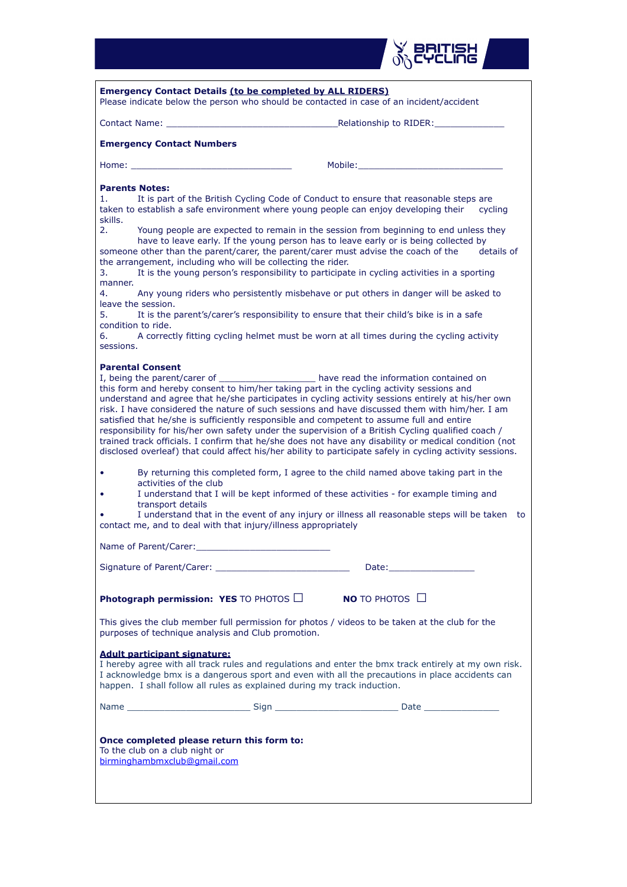| RITISH<br>CLING                                                                                                                                                                                                                                                                                                                                                                                                                                                                                                                                                                                                                                                                                                                                                                                                                                                                                                                                                                                                                                                                                                                                                                                                                                                                      |  |  |  |  |  |
|--------------------------------------------------------------------------------------------------------------------------------------------------------------------------------------------------------------------------------------------------------------------------------------------------------------------------------------------------------------------------------------------------------------------------------------------------------------------------------------------------------------------------------------------------------------------------------------------------------------------------------------------------------------------------------------------------------------------------------------------------------------------------------------------------------------------------------------------------------------------------------------------------------------------------------------------------------------------------------------------------------------------------------------------------------------------------------------------------------------------------------------------------------------------------------------------------------------------------------------------------------------------------------------|--|--|--|--|--|
| <b>Emergency Contact Details (to be completed by ALL RIDERS)</b><br>Please indicate below the person who should be contacted in case of an incident/accident                                                                                                                                                                                                                                                                                                                                                                                                                                                                                                                                                                                                                                                                                                                                                                                                                                                                                                                                                                                                                                                                                                                         |  |  |  |  |  |
|                                                                                                                                                                                                                                                                                                                                                                                                                                                                                                                                                                                                                                                                                                                                                                                                                                                                                                                                                                                                                                                                                                                                                                                                                                                                                      |  |  |  |  |  |
|                                                                                                                                                                                                                                                                                                                                                                                                                                                                                                                                                                                                                                                                                                                                                                                                                                                                                                                                                                                                                                                                                                                                                                                                                                                                                      |  |  |  |  |  |
| <b>Emergency Contact Numbers</b>                                                                                                                                                                                                                                                                                                                                                                                                                                                                                                                                                                                                                                                                                                                                                                                                                                                                                                                                                                                                                                                                                                                                                                                                                                                     |  |  |  |  |  |
| Mobile:<br>Home:                                                                                                                                                                                                                                                                                                                                                                                                                                                                                                                                                                                                                                                                                                                                                                                                                                                                                                                                                                                                                                                                                                                                                                                                                                                                     |  |  |  |  |  |
| <b>Parents Notes:</b><br>It is part of the British Cycling Code of Conduct to ensure that reasonable steps are<br>1.<br>taken to establish a safe environment where young people can enjoy developing their<br>cycling<br>skills.<br>2.<br>Young people are expected to remain in the session from beginning to end unless they<br>have to leave early. If the young person has to leave early or is being collected by<br>someone other than the parent/carer, the parent/carer must advise the coach of the<br>details of<br>the arrangement, including who will be collecting the rider.<br>It is the young person's responsibility to participate in cycling activities in a sporting<br>3.<br>manner.<br>Any young riders who persistently misbehave or put others in danger will be asked to<br>4.<br>leave the session.<br>5.<br>It is the parent's/carer's responsibility to ensure that their child's bike is in a safe<br>condition to ride.<br>A correctly fitting cycling helmet must be worn at all times during the cycling activity<br>6.<br>sessions.<br><b>Parental Consent</b><br>I, being the parent/carer of ________________ have read the information contained on<br>this form and hereby consent to him/her taking part in the cycling activity sessions and |  |  |  |  |  |
| understand and agree that he/she participates in cycling activity sessions entirely at his/her own<br>risk. I have considered the nature of such sessions and have discussed them with him/her. I am<br>satisfied that he/she is sufficiently responsible and competent to assume full and entire<br>responsibility for his/her own safety under the supervision of a British Cycling qualified coach /<br>trained track officials. I confirm that he/she does not have any disability or medical condition (not<br>disclosed overleaf) that could affect his/her ability to participate safely in cycling activity sessions.<br>By returning this completed form, I agree to the child named above taking part in the<br>٠<br>activities of the club<br>I understand that I will be kept informed of these activities - for example timing and<br>٠<br>transport details<br>I understand that in the event of any injury or illness all reasonable steps will be taken to<br>contact me, and to deal with that injury/illness appropriately                                                                                                                                                                                                                                         |  |  |  |  |  |
|                                                                                                                                                                                                                                                                                                                                                                                                                                                                                                                                                                                                                                                                                                                                                                                                                                                                                                                                                                                                                                                                                                                                                                                                                                                                                      |  |  |  |  |  |
|                                                                                                                                                                                                                                                                                                                                                                                                                                                                                                                                                                                                                                                                                                                                                                                                                                                                                                                                                                                                                                                                                                                                                                                                                                                                                      |  |  |  |  |  |
| Photograph permission: YES TO PHOTOS $\Box$<br><b>NO</b> TO PHOTOS $\Box$                                                                                                                                                                                                                                                                                                                                                                                                                                                                                                                                                                                                                                                                                                                                                                                                                                                                                                                                                                                                                                                                                                                                                                                                            |  |  |  |  |  |
| This gives the club member full permission for photos / videos to be taken at the club for the<br>purposes of technique analysis and Club promotion.                                                                                                                                                                                                                                                                                                                                                                                                                                                                                                                                                                                                                                                                                                                                                                                                                                                                                                                                                                                                                                                                                                                                 |  |  |  |  |  |
| <b>Adult participant signature:</b><br>I hereby agree with all track rules and regulations and enter the bmx track entirely at my own risk.<br>I acknowledge bmx is a dangerous sport and even with all the precautions in place accidents can<br>happen. I shall follow all rules as explained during my track induction.                                                                                                                                                                                                                                                                                                                                                                                                                                                                                                                                                                                                                                                                                                                                                                                                                                                                                                                                                           |  |  |  |  |  |
| Name __________________________________Sign ___________________________________Date __________________________                                                                                                                                                                                                                                                                                                                                                                                                                                                                                                                                                                                                                                                                                                                                                                                                                                                                                                                                                                                                                                                                                                                                                                       |  |  |  |  |  |
| Once completed please return this form to:<br>To the club on a club night or<br>birminghambmxclub@gmail.com                                                                                                                                                                                                                                                                                                                                                                                                                                                                                                                                                                                                                                                                                                                                                                                                                                                                                                                                                                                                                                                                                                                                                                          |  |  |  |  |  |

L